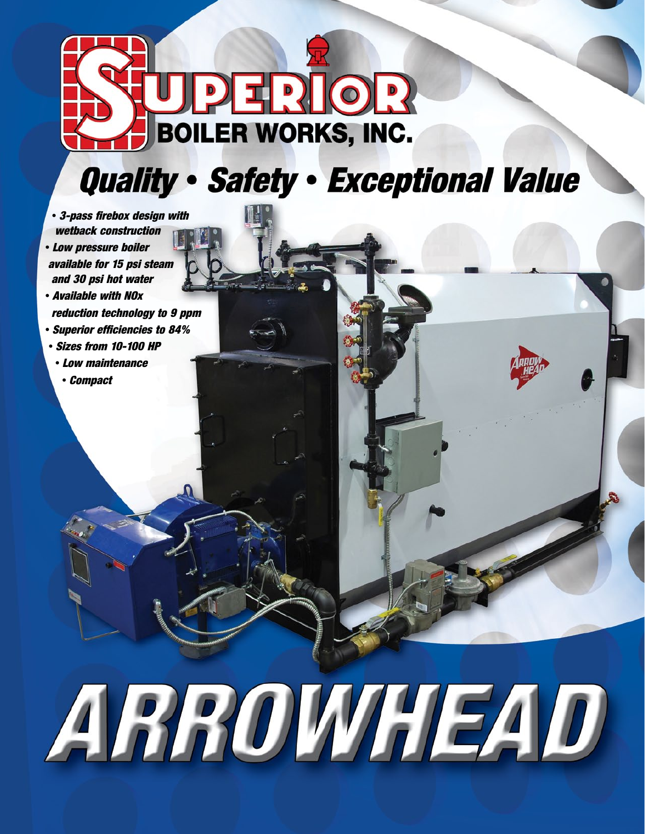

#### **Quality · Safety · Exceptional Value**

- *3-pass firebox design with wetback construction*
- *Low pressure boiler available for 15 psi steam and 30 psi hot water*
- *Available with NOx reduction technology to 9 ppm*
- *Superior efficiencies to 84%*
- *Sizes from 10-100 HP*
	- *Low maintenance*
	- *Compact*

# ARROWHEAD